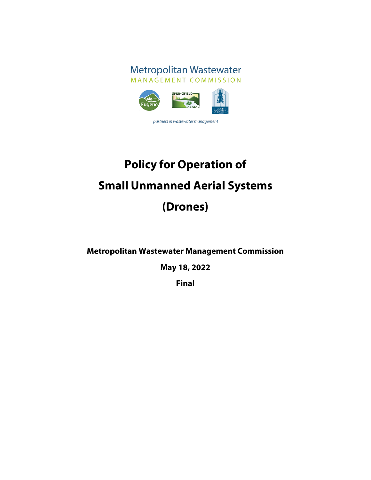

partners in wastewater management

# **Policy for Operation of Small Unmanned Aerial Systems (Drones)**

**Metropolitan Wastewater Management Commission**

**May 18, 2022**

**Final**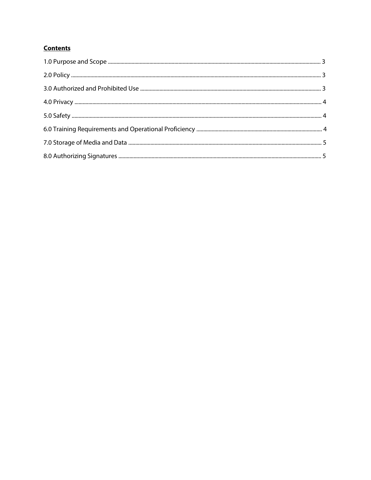# **Contents**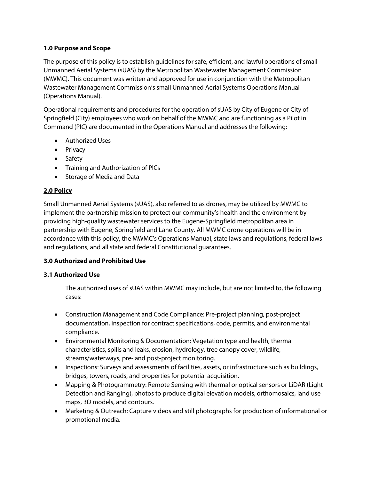# **1.0 Purpose and Scope**

The purpose of this policy is to establish guidelines for safe, efficient, and lawful operations of small Unmanned Aerial Systems (sUAS) by the Metropolitan Wastewater Management Commission (MWMC). This document was written and approved for use in conjunction with the Metropolitan Wastewater Management Commission's small Unmanned Aerial Systems Operations Manual (Operations Manual).

Operational requirements and procedures for the operation of sUAS by City of Eugene or City of Springfield (City) employees who work on behalf of the MWMC and are functioning as a Pilot in Command (PIC) are documented in the Operations Manual and addresses the following:

- Authorized Uses
- Privacy
- Safety
- Training and Authorization of PlCs
- Storage of Media and Data

# **2.0 Policy**

Small Unmanned Aerial Systems (sUAS), also referred to as drones, may be utilized by MWMC to implement the partnership mission to protect our community's health and the environment by providing high-quality wastewater services to the Eugene-Springfield metropolitan area in partnership with Eugene, Springfield and Lane County. All MWMC drone operations will be in accordance with this policy, the MWMC's Operations Manual, state laws and regulations, federal laws and regulations, and all state and federal Constitutional guarantees.

# **3.0 Authorized and Prohibited Use**

# **3.1 Authorized Use**

The authorized uses of sUAS within MWMC may include, but are not limited to, the following cases:

- Construction Management and Code Compliance: Pre-project planning, post-project documentation, inspection for contract specifications, code, permits, and environmental compliance.
- Environmental Monitoring & Documentation: Vegetation type and health, thermal characteristics, spills and leaks, erosion, hydrology, tree canopy cover, wildlife, streams/waterways, pre- and post-project monitoring.
- Inspections: Surveys and assessments of facilities, assets, or infrastructure such as buildings, bridges, towers, roads, and properties for potential acquisition.
- Mapping & Photogrammetry: Remote Sensing with thermal or optical sensors or LiDAR (Light Detection and Ranging), photos to produce digital elevation models, orthomosaics, land use maps, 3D models, and contours.
- Marketing & Outreach: Capture videos and still photographs for production of informational or promotional media.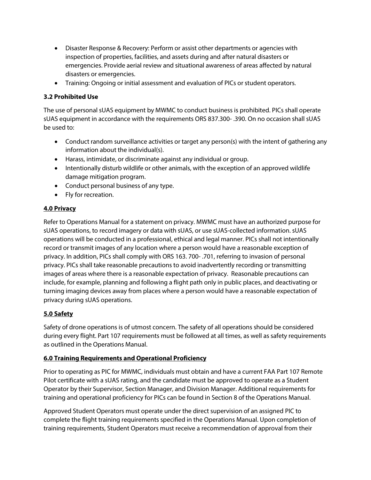- Disaster Response & Recovery: Perform or assist other departments or agencies with inspection of properties, facilities, and assets during and after natural disasters or emergencies. Provide aerial review and situational awareness of areas affected by natural disasters or emergencies.
- Training: Ongoing or initial assessment and evaluation of PICs or student operators.

# **3.2 Prohibited Use**

The use of personal sUAS equipment by MWMC to conduct business is prohibited. PICs shall operate sUAS equipment in accordance with the requirements ORS 837.300- .390. On no occasion shall sUAS be used to:

- Conduct random surveillance activities or target any person(s) with the intent of gathering any information about the individual(s).
- Harass, intimidate, or discriminate against any individual or group.
- Intentionally disturb wildlife or other animals, with the exception of an approved wildlife damage mitigation program.
- Conduct personal business of any type.
- Fly for recreation.

# **4.0 Privacy**

Refer to Operations Manual for a statement on privacy. MWMC must have an authorized purpose for sUAS operations, to record imagery or data with sUAS, or use sUAS-collected information. sUAS operations will be conducted in a professional, ethical and legal manner. PICs shall not intentionally record or transmit images of any location where a person would have a reasonable exception of privacy. In addition, PICs shall comply with ORS 163. 700- .701, referring to invasion of personal privacy. PICs shall take reasonable precautions to avoid inadvertently recording or transmitting images of areas where there is a reasonable expectation of privacy. Reasonable precautions can include, for example, planning and following a flight path only in public places, and deactivating or turning imaging devices away from places where a person would have a reasonable expectation of privacy during sUAS operations.

# **5.0 Safety**

Safety of drone operations is of utmost concern. The safety of all operations should be considered during every flight. Part 107 requirements must be followed at all times, as well as safety requirements as outlined in the Operations Manual.

# **6.0 Training Requirements and Operational Proficiency**

Prior to operating as PIC for MWMC, individuals must obtain and have a current FAA Part 107 Remote Pilot certificate with a sUAS rating, and the candidate must be approved to operate as a Student Operator by their Supervisor, Section Manager, and Division Manager. Additional requirements for training and operational proficiency for PICs can be found in Section 8 of the Operations Manual.

Approved Student Operators must operate under the direct supervision of an assigned PIC to complete the flight training requirements specified in the Operations Manual. Upon completion of training requirements, Student Operators must receive a recommendation of approval from their